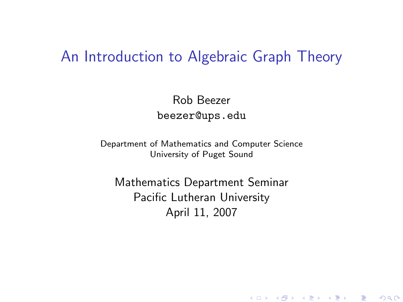## An Introduction to Algebraic Graph Theory

Rob Beezer beezer@ups.edu

Department of Mathematics and Computer Science University of Puget Sound

<span id="page-0-0"></span>Mathematics Department Seminar Pacific Lutheran University April 11, 2007

K ロ K K @ K K X B K K B K C B (B )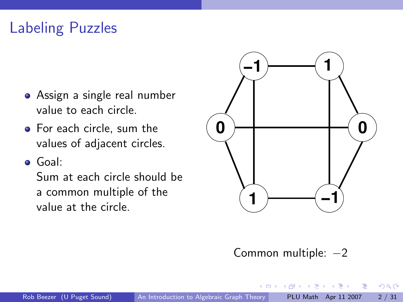# Labeling Puzzles

- Assign a single real number value to each circle.
- For each circle, sum the values of adjacent circles.
- Goal:

Sum at each circle should be a common multiple of the value at the circle.



#### Common multiple: −2

4 D F

 $\triangleright$   $\rightarrow$   $\Rightarrow$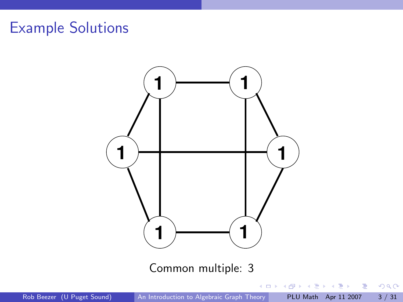

Rob Beezer (U Puget Sound) [An Introduction to Algebraic Graph Theory](#page-0-0) PLU Math Apr 11 2007 3 / 31

重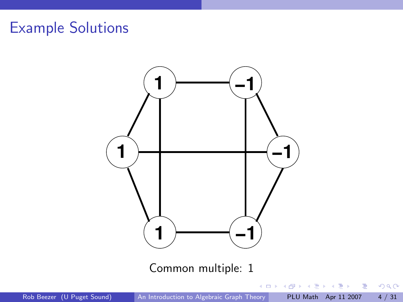

Rob Beezer (U Puget Sound) [An Introduction to Algebraic Graph Theory](#page-0-0) PLU Math Apr 11 2007 4 / 31

重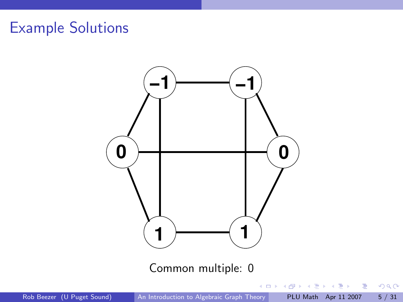

Rob Beezer (U Puget Sound) [An Introduction to Algebraic Graph Theory](#page-0-0) PLU Math Apr 11 2007 5 / 31

重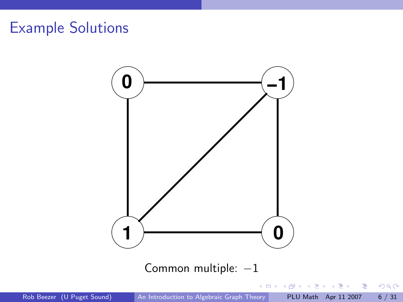

Rob Beezer (U Puget Sound) [An Introduction to Algebraic Graph Theory](#page-0-0) PLU Math Apr 11 2007 6 / 31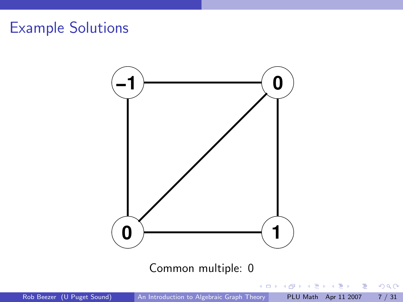

重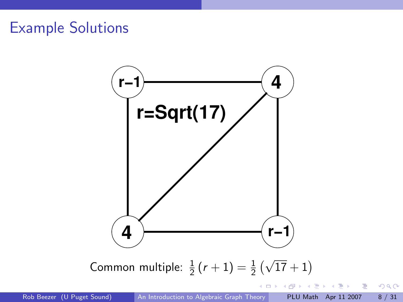

K ロ ▶ K 優 ▶ K 결 ▶ K 결 ▶ ○ 결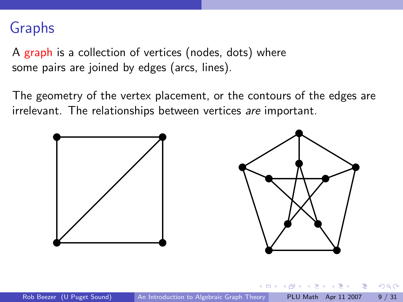## Graphs

A graph is a collection of vertices (nodes, dots) where some pairs are joined by edges (arcs, lines).

The geometry of the vertex placement, or the contours of the edges are irrelevant. The relationships between vertices are important.

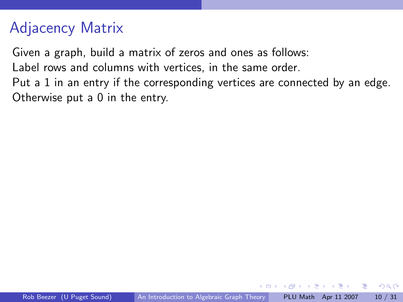# Adjacency Matrix

Given a graph, build a matrix of zeros and ones as follows:

Label rows and columns with vertices, in the same order.

Put a 1 in an entry if the corresponding vertices are connected by an edge. Otherwise put a 0 in the entry.

 $\triangleright$   $\rightarrow$   $\exists$   $\rightarrow$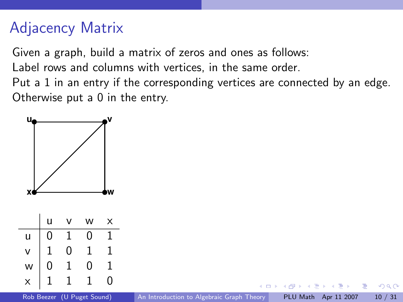# Adjacency Matrix

Given a graph, build a matrix of zeros and ones as follows:

Label rows and columns with vertices, in the same order.

Put a 1 in an entry if the corresponding vertices are connected by an edge. Otherwise put a 0 in the entry.

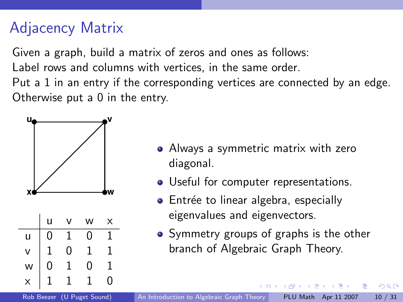## Adjacency Matrix

Given a graph, build a matrix of zeros and ones as follows:

Label rows and columns with vertices, in the same order.

Put a 1 in an entry if the corresponding vertices are connected by an edge. Otherwise put a 0 in the entry.



- Always a symmetric matrix with zero diagonal.
- Useful for computer representations.
- Entrée to linear algebra, especially eigenvalues and eigenvectors.
- Symmetry groups of graphs is the other branch of Algebraic Graph Theory.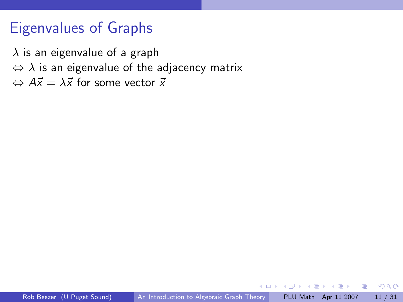## Eigenvalues of Graphs

 $\lambda$  is an eigenvalue of a graph  $\Leftrightarrow$   $\lambda$  is an eigenvalue of the adjacency matrix  $\Leftrightarrow$   $A\vec{x} = \lambda \vec{x}$  for some vector  $\vec{x}$ 

4 D F

 $\triangleright$   $\rightarrow$   $\exists$   $\rightarrow$ 

目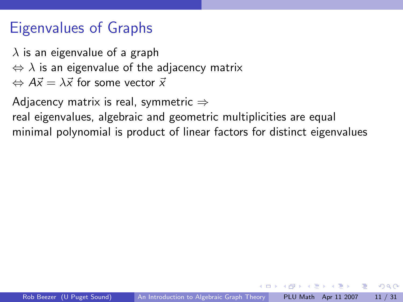## Eigenvalues of Graphs

 $\lambda$  is an eigenvalue of a graph  $\Leftrightarrow$   $\lambda$  is an eigenvalue of the adjacency matrix  $\Leftrightarrow$   $A\vec{x} = \lambda \vec{x}$  for some vector  $\vec{x}$ 

Adjacency matrix is real, symmetric  $\Rightarrow$ 

real eigenvalues, algebraic and geometric multiplicities are equal minimal polynomial is product of linear factors for distinct eigenvalues

 $\triangleright$   $\rightarrow$   $\exists$   $\rightarrow$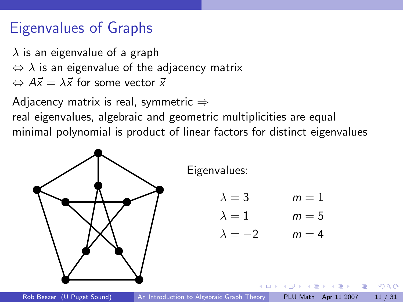## Eigenvalues of Graphs

 $\lambda$  is an eigenvalue of a graph  $\Leftrightarrow$   $\lambda$  is an eigenvalue of the adjacency matrix  $\Leftrightarrow$   $A\vec{x} = \lambda \vec{x}$  for some vector  $\vec{x}$ 

Adjacency matrix is real, symmetric  $\Rightarrow$ real eigenvalues, algebraic and geometric multiplicities are equal minimal polynomial is product of linear factors for distinct eigenvalues

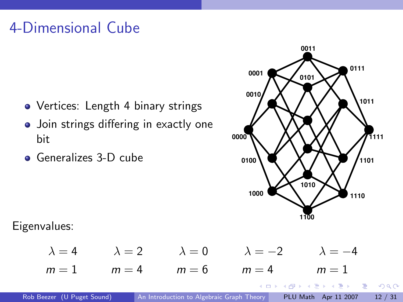# 4-Dimensional Cube

- Vertices: Length 4 binary strings
- Join strings differing in exactly one bit
- **Generalizes 3-D cube**



**イロト イ何ト イヨト イヨト** 

 $QQ$ 

D.

Eigenvalues:

 $\lambda = 4$   $\lambda = 2$   $\lambda = 0$   $\lambda = -2$   $\lambda = -4$  $m = 1$   $m = 4$   $m = 6$   $m = 4$   $m = 1$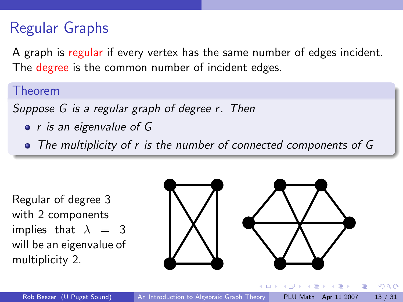# Regular Graphs

A graph is regular if every vertex has the same number of edges incident. The degree is the common number of incident edges.

#### Theorem

Suppose G is a regular graph of degree r. Then

• *r* is an eigenvalue of G

The multiplicity of r is the number of connected components of G

Regular of degree 3 with 2 components implies that  $\lambda = 3$ will be an eigenvalue of multiplicity 2.



 $\equiv$   $\rightarrow$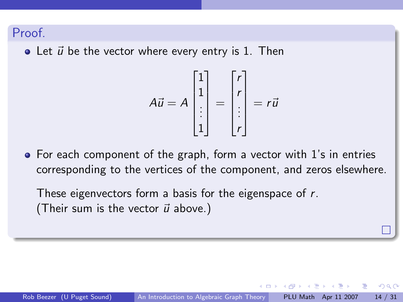#### Proof.

 $\bullet$  Let  $\vec{u}$  be the vector where every entry is 1. Then

$$
A\vec{u} = A \begin{bmatrix} 1 \\ 1 \\ \vdots \\ 1 \end{bmatrix} = \begin{bmatrix} r \\ r \\ \vdots \\ r \end{bmatrix} = r\vec{u}
$$

For each component of the graph, form a vector with 1's in entries corresponding to the vertices of the component, and zeros elsewhere.

These eigenvectors form a basis for the eigenspace of r. (Their sum is the vector  $\vec{u}$  above.)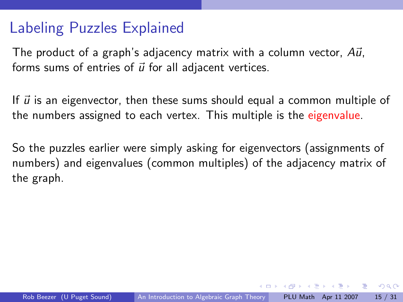## Labeling Puzzles Explained

The product of a graph's adjacency matrix with a column vector,  $A\vec{u}$ , forms sums of entries of  $\vec{u}$  for all adjacent vertices.

If  $\vec{u}$  is an eigenvector, then these sums should equal a common multiple of the numbers assigned to each vertex. This multiple is the eigenvalue.

So the puzzles earlier were simply asking for eigenvectors (assignments of numbers) and eigenvalues (common multiples) of the adjacency matrix of the graph.

化重新润滑脂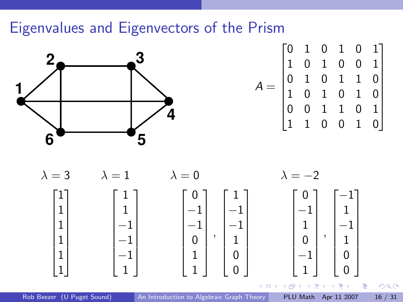## Eigenvalues and Eigenvectors of the Prism



$$
A = \begin{bmatrix} 0 & 1 & 0 & 1 & 0 & 1 \\ 1 & 0 & 1 & 0 & 0 & 1 \\ 0 & 1 & 0 & 1 & 1 & 0 \\ 1 & 0 & 1 & 0 & 1 & 0 \\ 0 & 0 & 1 & 1 & 0 & 1 \\ 1 & 1 & 0 & 0 & 1 & 0 \end{bmatrix}
$$



Rob Beezer (U Puget Sound) [An Introduction to Algebraic Graph Theory](#page-0-0) PLU Math Apr 11 2007 16 / 31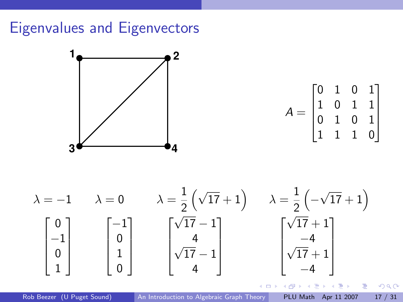# Eigenvalues and Eigenvectors



$$
A = \begin{bmatrix} 0 & 1 & 0 & 1 \\ 1 & 0 & 1 & 1 \\ 0 & 1 & 0 & 1 \\ 1 & 1 & 1 & 0 \end{bmatrix}
$$



Rob Beezer (U Puget Sound) [An Introduction to Algebraic Graph Theory](#page-0-0) PLU Math Apr 11 2007 17 / 31

 $\triangleright$  and  $\exists$  in a set  $\exists$  in a

∢ ⁄লা-

4 **D F**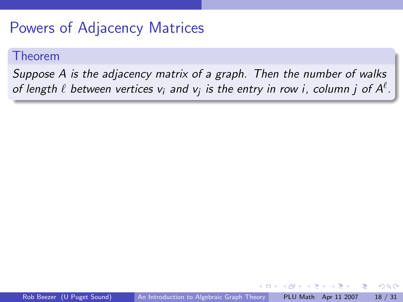## Powers of Adjacency Matrices

#### Theorem

Suppose A is the adjacency matrix of a graph. Then the number of walks of length  $\ell$  between vertices  $\mathsf{v}_i$  and  $\mathsf{v}_j$  is the entry in row i, column  $j$  of  $\mathsf{A}^\ell.$ 

 $\leftarrow$   $\Box$ 

 $\rightarrow \equiv$   $\rightarrow$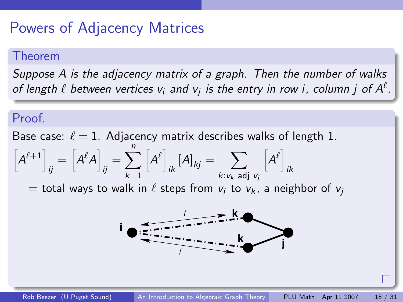## Powers of Adjacency Matrices

#### Theorem

Suppose A is the adjacency matrix of a graph. Then the number of walks of length  $\ell$  between vertices  $\mathsf{v}_i$  and  $\mathsf{v}_j$  is the entry in row i, column  $j$  of  $\mathsf{A}^\ell.$ 

### Proof.

Base case:  $\ell = 1$ . Adjacency matrix describes walks of length 1.

$$
\left[A^{\ell+1}\right]_{ij}=\left[A^{\ell}A\right]_{ij}=\sum_{k=1}^{n}\left[A^{\ell}\right]_{ik}\left[A\right]_{kj}=\sum_{k:\nu_{k}\text{ adj }\nu_{j}}\left[A^{\ell}\right]_{ik}
$$

 $=$  total ways to walk in  $\ell$  steps from  $v_i$  to  $v_k$ , a neighbor of  $v_i$ 

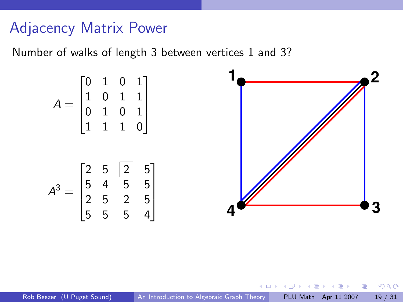## Adjacency Matrix Power

Number of walks of length 3 between vertices 1 and 3?

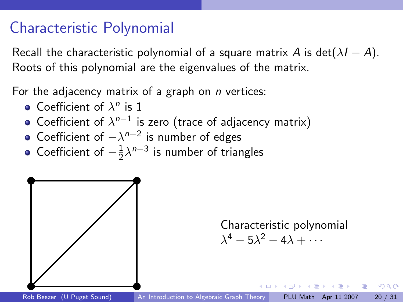## Characteristic Polynomial

Recall the characteristic polynomial of a square matrix A is det( $\lambda I - A$ ). Roots of this polynomial are the eigenvalues of the matrix.

For the adjacency matrix of a graph on  $n$  vertices:

- Coefficient of  $\lambda^n$  is 1
- Coefficient of  $\lambda^{n-1}$  is zero (trace of adjacency matrix)
- Coefficient of  $-\lambda^{n-2}$  is number of edges
- Coefficient of  $-\frac{1}{2}$  $\frac{1}{2}\lambda^{n-3}$  is number of triangles



Characteristic polynomial  $\lambda^4 - 5\lambda^2 - 4\lambda + \cdots$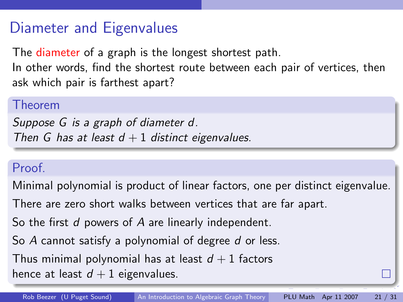## Diameter and Eigenvalues

The diameter of a graph is the longest shortest path.

In other words, find the shortest route between each pair of vertices, then ask which pair is farthest apart?

#### Theorem

Suppose G is a graph of diameter d. Then G has at least  $d + 1$  distinct eigenvalues.

### Proof.

Minimal polynomial is product of linear factors, one per distinct eigenvalue.

There are zero short walks between vertices that are far apart.

So the first d powers of A are linearly independent.

So A cannot satisfy a polynomial of degree d or less.

Thus minimal polynomial has at least  $d + 1$  factors

<span id="page-25-0"></span>hence at least  $d + 1$  eigenvalues.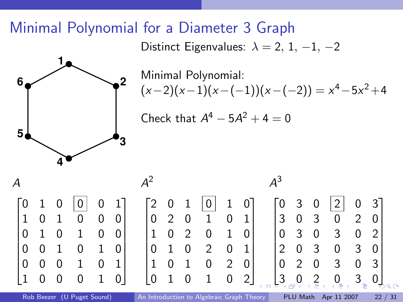## Minimal Polynomial for a Diameter 3 Graph

Distinct Eigenvalues:  $\lambda = 2, 1, -1, -2$ 



Minimal Polynomial:  $(x-2)(x-1)(x-(-1))(x-(-2)) = x<sup>4</sup> - 5x<sup>2</sup> + 4$ 

<span id="page-26-0"></span>Check that  $A^4 - 5A^2 + 4 = 0$ 

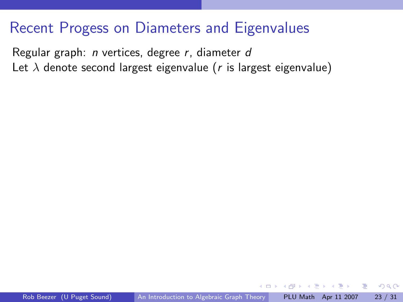## Recent Progess on Diameters and Eigenvalues

Regular graph: n vertices, degree r, diameter d Let  $\lambda$  denote second largest eigenvalue (r is largest eigenvalue)

 $-$ 

<span id="page-27-0"></span>ヨメ メラメ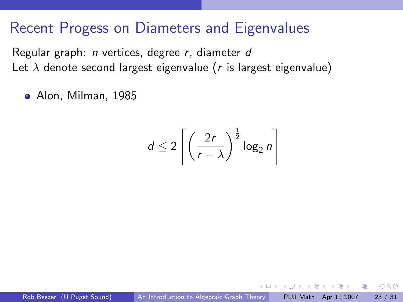## Recent Progess on Diameters and Eigenvalues

Regular graph: n vertices, degree r, diameter d Let  $\lambda$  denote second largest eigenvalue (r is largest eigenvalue)

Alon, Milman, 1985

$$
d \leq 2 \left[ \left( \frac{2r}{r - \lambda} \right)^{\frac{1}{2}} \log_2 n \right]
$$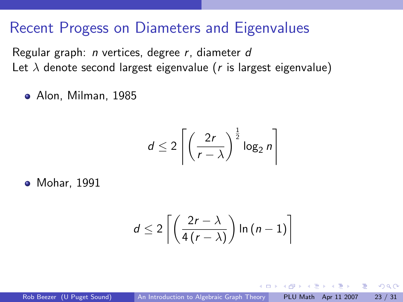## Recent Progess on Diameters and Eigenvalues

Regular graph: n vertices, degree r, diameter d Let  $\lambda$  denote second largest eigenvalue (r is largest eigenvalue)

Alon, Milman, 1985

$$
d \leq 2 \left[ \left( \frac{2r}{r - \lambda} \right)^{\frac{1}{2}} \log_2 n \right]
$$

**•** Mohar, 1991

$$
d \leq 2\left\lceil \left( \frac{2r-\lambda}{4\left(r-\lambda\right)} \right) \ln\left(n-1\right) \right\rceil
$$

 $\rightarrow \equiv$   $\rightarrow$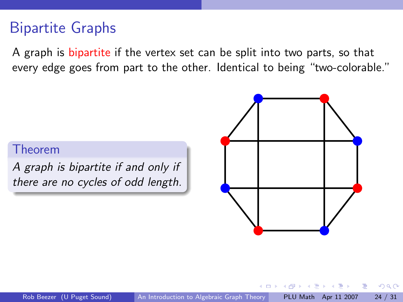## Bipartite Graphs

A graph is bipartite if the vertex set can be split into two parts, so that every edge goes from part to the other. Identical to being "two-colorable."

### Theorem

A graph is bipartite if and only if there are no cycles of odd length.

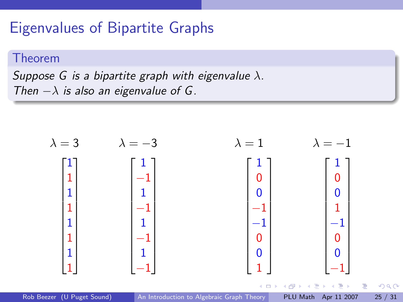## Eigenvalues of Bipartite Graphs

#### Theorem

Suppose G is a bipartite graph with eigenvalue  $\lambda$ . Then  $-\lambda$  is also an eigenvalue of G.

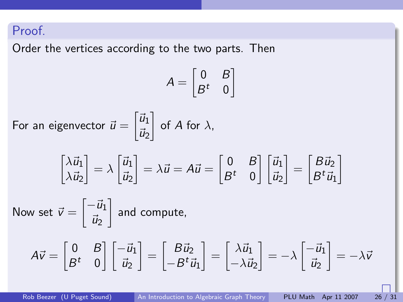### Proof.

Order the vertices according to the two parts. Then

$$
A = \begin{bmatrix} 0 & B \\ B^t & 0 \end{bmatrix}
$$
  
For an eigenvector  $\vec{u} = \begin{bmatrix} \vec{u}_1 \\ \vec{u}_2 \end{bmatrix}$  of A for  $\lambda$ ,  

$$
\begin{bmatrix} \lambda \vec{u}_1 \\ \lambda \vec{u}_2 \end{bmatrix} = \lambda \begin{bmatrix} \vec{u}_1 \\ \vec{u}_2 \end{bmatrix} = \lambda \vec{u} = A\vec{u} = \begin{bmatrix} 0 & B \\ B^t & 0 \end{bmatrix} \begin{bmatrix} \vec{u}_1 \\ \vec{u}_2 \end{bmatrix} = \begin{bmatrix} B\vec{u}_2 \\ B^t \vec{u}_1 \end{bmatrix}
$$
  
Now set  $\vec{v} = \begin{bmatrix} -\vec{u}_1 \\ \vec{u}_2 \end{bmatrix}$  and compute,  

$$
A\vec{v} = \begin{bmatrix} 0 & B \\ B^t & 0 \end{bmatrix} \begin{bmatrix} -\vec{u}_1 \\ \vec{u}_2 \end{bmatrix} = \begin{bmatrix} B\vec{u}_2 \\ -B^t \vec{u}_1 \end{bmatrix} = \begin{bmatrix} \lambda \vec{u}_1 \\ -\lambda \vec{u}_2 \end{bmatrix} = -\lambda \begin{bmatrix} -\vec{u}_1 \\ \vec{u}_2 \end{bmatrix} = -\lambda \vec{v}
$$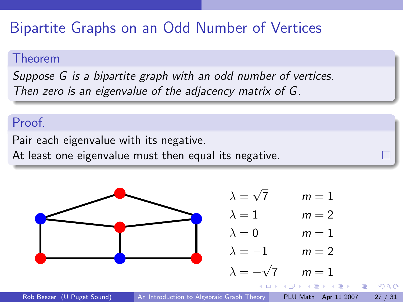# Bipartite Graphs on an Odd Number of Vertices

#### Theorem

Suppose G is a bipartite graph with an odd number of vertices. Then zero is an eigenvalue of the adjacency matrix of G.

### Proof.

Pair each eigenvalue with its negative.

At least one eigenvalue must then equal its negative.

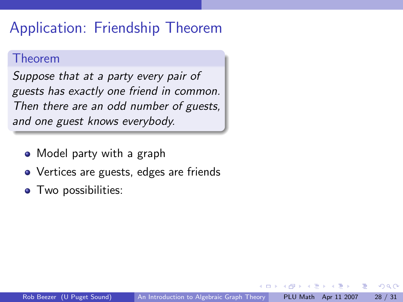## Application: Friendship Theorem

#### Theorem

Suppose that at a party every pair of guests has exactly one friend in common. Then there are an odd number of guests, and one guest knows everybody.

- Model party with a graph
- Vertices are guests, edges are friends
- **•** Two possibilities: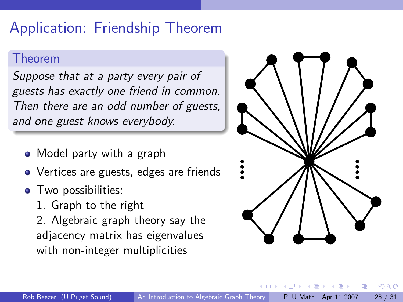# Application: Friendship Theorem

#### Theorem

Suppose that at a party every pair of guests has exactly one friend in common. Then there are an odd number of guests, and one guest knows everybody.

- Model party with a graph
- Vertices are guests, edges are friends
- **•** Two possibilities:
	- 1. Graph to the right

2. Algebraic graph theory say the adjacency matrix has eigenvalues with non-integer multiplicities

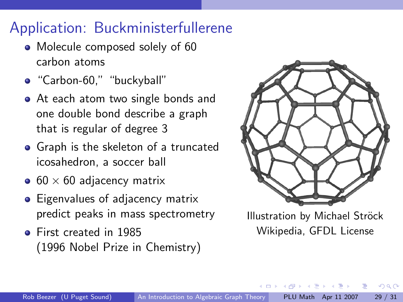# Application: Buckministerfullerene

- Molecule composed solely of 60 carbon atoms
- "Carbon-60," "buckyball"
- At each atom two single bonds and one double bond describe a graph that is regular of degree 3
- Graph is the skeleton of a truncated icosahedron, a soccer ball
- $\bullet$  60  $\times$  60 adjacency matrix
- Eigenvalues of adjacency matrix predict peaks in mass spectrometry
- First created in 1985 (1996 Nobel Prize in Chemistry)



Illustration by Michael Ströck Wikipedia, GFDL License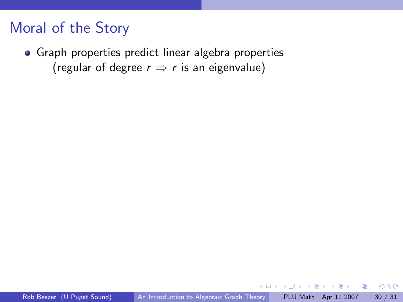## Moral of the Story

Graph properties predict linear algebra properties (regular of degree  $r \Rightarrow r$  is an eigenvalue)

4 D F

 $\triangleright$   $\rightarrow$   $\exists$   $\rightarrow$ 

目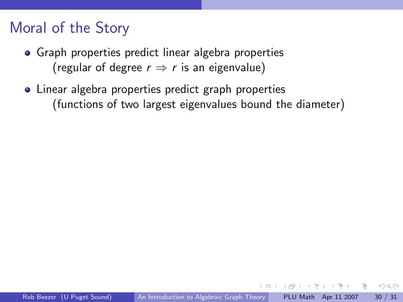## Moral of the Story

- Graph properties predict linear algebra properties (regular of degree  $r \Rightarrow r$  is an eigenvalue)
- Linear algebra properties predict graph properties (functions of two largest eigenvalues bound the diameter)

化重新润滑脂

4 D F

 $QQQ$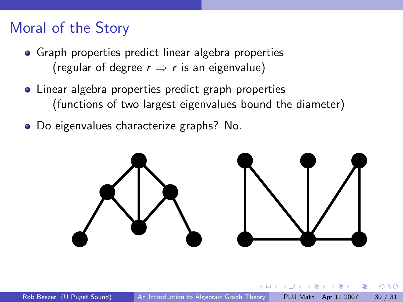## Moral of the Story

- Graph properties predict linear algebra properties (regular of degree  $r \Rightarrow r$  is an eigenvalue)
- Linear algebra properties predict graph properties (functions of two largest eigenvalues bound the diameter)
- Do eigenvalues characterize graphs? No.

<span id="page-39-0"></span>